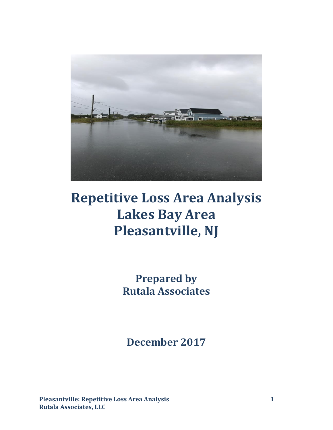

# **Repetitive Loss Area Analysis Lakes Bay Area Pleasantville, NJ**

**Prepared by Rutala Associates**

**December 2017**

**Pleasantville: Repetitive Loss Area Analysis 1 Rutala Associates, LLC**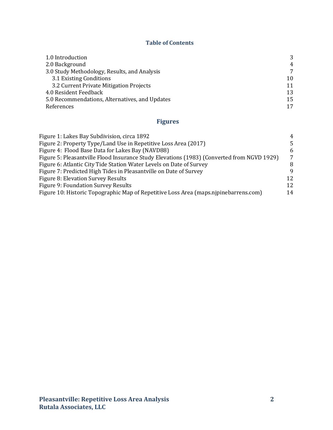#### **Table of Contents**

| 1.0 Introduction                               | 3              |
|------------------------------------------------|----------------|
| 2.0 Background                                 | $\overline{4}$ |
| 3.0 Study Methodology, Results, and Analysis   | 7              |
| 3.1 Existing Conditions                        | 10             |
| 3.2 Current Private Mitigation Projects        | 11             |
| 4.0 Resident Feedback                          | 13             |
| 5.0 Recommendations, Alternatives, and Updates | 15             |
| References                                     | 17             |

# **Figures**

| Figure 1: Lakes Bay Subdivision, circa 1892                                                | 4               |
|--------------------------------------------------------------------------------------------|-----------------|
| Figure 2: Property Type/Land Use in Repetitive Loss Area (2017)                            | .5.             |
| Figure 4: Flood Base Data for Lakes Bay (NAVD88)                                           | 6               |
| Figure 5: Pleasantville Flood Insurance Study Elevations (1983) (Converted from NGVD 1929) | $7\phantom{.0}$ |
| Figure 6: Atlantic City Tide Station Water Levels on Date of Survey                        | 8               |
| Figure 7: Predicted High Tides in Pleasantville on Date of Survey                          | 9               |
| Figure 8: Elevation Survey Results                                                         | 12              |
| Figure 9: Foundation Survey Results                                                        | 12              |
| Figure 10: Historic Topographic Map of Repetitive Loss Area (maps.njpinebarrens.com)       | 14              |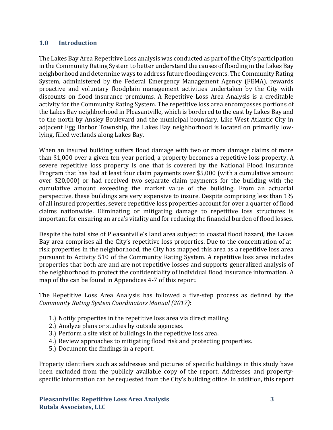### **1.0 Introduction**

The Lakes Bay Area Repetitive Loss analysis was conducted as part of the City's participation in the Community Rating System to better understand the causes of flooding in the Lakes Bay neighborhood and determine ways to address future flooding events. The Community Rating System, administered by the Federal Emergency Management Agency (FEMA), rewards proactive and voluntary floodplain management activities undertaken by the City with discounts on flood insurance premiums. A Repetitive Loss Area Analysis is a creditable activity for the Community Rating System. The repetitive loss area encompasses portions of the Lakes Bay neighborhood in Pleasantville, which is bordered to the east by Lakes Bay and to the north by Ansley Boulevard and the municipal boundary. Like West Atlantic City in adjacent Egg Harbor Township, the Lakes Bay neighborhood is located on primarily lowlying, filled wetlands along Lakes Bay.

When an insured building suffers flood damage with two or more damage claims of more than \$1,000 over a given ten-year period, a property becomes a repetitive loss property. A severe repetitive loss property is one that is covered by the National Flood Insurance Program that has had at least four claim payments over \$5,000 (with a cumulative amount over \$20,000) or had received two separate claim payments for the building with the cumulative amount exceeding the market value of the building. From an actuarial perspective, these buildings are very expensive to insure. Despite comprising less than 1% of all insured properties, severe repetitive loss properties account for over a quarter of flood claims nationwide. Eliminating or mitigating damage to repetitive loss structures is important for ensuring an area's vitality and for reducing the financial burden of flood losses.

Despite the total size of Pleasantville's land area subject to coastal flood hazard, the Lakes Bay area comprises all the City's repetitive loss properties. Due to the concentration of atrisk properties in the neighborhood, the City has mapped this area as a repetitive loss area pursuant to Activity 510 of the Community Rating System. A repetitive loss area includes properties that both are and are not repetitive losses and supports generalized analysis of the neighborhood to protect the confidentiality of individual flood insurance information. A map of the can be found in Appendices 4-7 of this report.

The Repetitive Loss Area Analysis has followed a five-step process as defined by the *Community Rating System Coordinators Manual (2017)*:

- 1.) Notify properties in the repetitive loss area via direct mailing.
- 2.) Analyze plans or studies by outside agencies.
- 3.) Perform a site visit of buildings in the repetitive loss area.
- 4.) Review approaches to mitigating flood risk and protecting properties.
- 5.) Document the findings in a report.

Property identifiers such as addresses and pictures of specific buildings in this study have been excluded from the publicly available copy of the report. Addresses and propertyspecific information can be requested from the City's building office. In addition, this report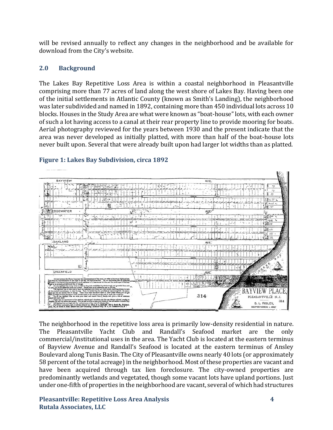will be revised annually to reflect any changes in the neighborhood and be available for download from the City's website.

# **2.0 Background**

The Lakes Bay Repetitive Loss Area is within a coastal neighborhood in Pleasantville comprising more than 77 acres of land along the west shore of Lakes Bay. Having been one of the initial settlements in Atlantic County (known as Smith's Landing), the neighborhood was later subdivided and named in 1892, containing more than 450 individual lots across 10 blocks. Houses in the Study Area are what were known as "boat-house" lots, with each owner of such a lot having access to a canal at their rear property line to provide mooring for boats. Aerial photography reviewed for the years between 1930 and the present indicate that the area was never developed as initially platted, with more than half of the boat-house lots never built upon. Several that were already built upon had larger lot widths than as platted.



# **Figure 1: Lakes Bay Subdivision, circa 1892**

The neighborhood in the repetitive loss area is primarily low-density residential in nature. The Pleasantville Yacht Club and Randall's Seafood market are the only commercial/institutional uses in the area. The Yacht Club is located at the eastern terminus of Bayview Avenue and Randall's Seafood is located at the eastern terminus of Ansley Boulevard along Tunis Basin. The City of Pleasantville owns nearly 40 lots (or approximately 58 percent of the total acreage) in the neighborhood. Most of these properties are vacant and have been acquired through tax lien foreclosure. The city-owned properties are predominantly wetlands and vegetated, though some vacant lots have upland portions. Just under one-fifth of properties in the neighborhood are vacant, several of which had structures

**Pleasantville: Repetitive Loss Area Analysis 4 Rutala Associates, LLC**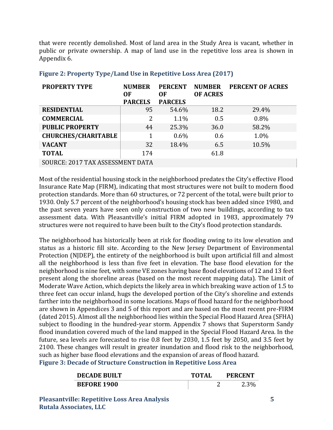that were recently demolished. Most of land area in the Study Area is vacant, whether in public or private ownership. A map of land use in the repetitive loss area is shown in Appendix 6.

| <b>PROPERTY TYPE</b>             | <b>NUMBER</b><br>0F | <b>PERCENT</b><br>0F | <b>NUMBER</b><br><b>OF ACRES</b> | <b>PERCENT OF ACRES</b> |
|----------------------------------|---------------------|----------------------|----------------------------------|-------------------------|
|                                  | <b>PARCELS</b>      | <b>PARCELS</b>       |                                  |                         |
| <b>RESIDENTIAL</b>               | 95                  | 54.6%                | 18.2                             | 29.4%                   |
| <b>COMMERCIAL</b>                | 2                   | 1.1%                 | 0.5                              | 0.8%                    |
| <b>PUBLIC PROPERTY</b>           | 44                  | 25.3%                | 36.0                             | 58.2%                   |
| <b>CHURCHES/CHARITABLE</b>       | 1                   | $0.6\%$              | 0.6                              | 1.0%                    |
| <b>VACANT</b>                    | 32                  | 18.4%                | 6.5                              | 10.5%                   |
| <b>TOTAL</b>                     | 174                 |                      | 61.8                             |                         |
| SOURCE: 2017 TAX ASSESSMENT DATA |                     |                      |                                  |                         |

## **Figure 2: Property Type/Land Use in Repetitive Loss Area (2017)**

Most of the residential housing stock in the neighborhood predates the City's effective Flood Insurance Rate Map (FIRM), indicating that most structures were not built to modern flood protection standards. More than 60 structures, or 72 percent of the total, were built prior to 1930. Only 5.7 percent of the neighborhood's housing stock has been added since 1980, and the past seven years have seen only construction of two new buildings, according to tax assessment data. With Pleasantville's initial FIRM adopted in 1983, approximately 79 structures were not required to have been built to the City's flood protection standards.

The neighborhood has historically been at risk for flooding owing to its low elevation and status as a historic fill site. According to the New Jersey Department of Environmental Protection (NJDEP), the entirety of the neighborhood is built upon artificial fill and almost all the neighborhood is less than five feet in elevation. The base flood elevation for the neighborhood is nine feet, with some VE zones having base flood elevations of 12 and 13 feet present along the shoreline areas (based on the most recent mapping data). The Limit of Moderate Wave Action, which depicts the likely area in which breaking wave action of 1.5 to three feet can occur inland, hugs the developed portion of the City's shoreline and extends farther into the neighborhood in some locations. Maps of flood hazard for the neighborhood are shown in Appendices 3 and 5 of this report and are based on the most recent pre-FIRM (dated 2015). Almost all the neighborhood lies within the Special Flood Hazard Area (SFHA) subject to flooding in the hundred-year storm. Appendix 7 shows that Superstorm Sandy flood inundation covered much of the land mapped in the Special Flood Hazard Area. In the future, sea levels are forecasted to rise 0.8 feet by 2030, 1.5 feet by 2050, and 3.5 feet by 2100. These changes will result in greater inundation and flood risk to the neighborhood, such as higher base flood elevations and the expansion of areas of flood hazard. **Figure 3: Decade of Structure Construction in Repetitive Loss Area**

| <b>DECADE BUILT</b> | <b>TOTAL</b> | <b>PERCENT</b> |
|---------------------|--------------|----------------|
| <b>BEFORE 1900</b>  |              | 2.3%           |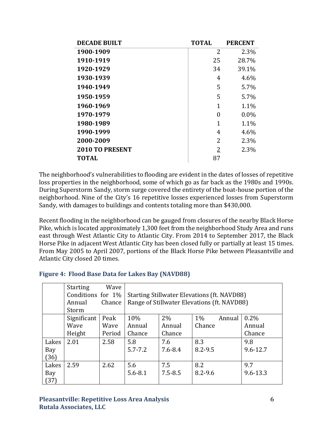| <b>DECADE BUILT</b>    | <b>TOTAL</b> | <b>PERCENT</b> |
|------------------------|--------------|----------------|
| 1900-1909              | 2            | 2.3%           |
| 1910-1919              | 25           | 28.7%          |
| 1920-1929              | 34           | 39.1%          |
| 1930-1939              | 4            | 4.6%           |
| 1940-1949              | 5            | 5.7%           |
| 1950-1959              | 5            | 5.7%           |
| 1960-1969              | 1            | 1.1%           |
| 1970-1979              | 0            | $0.0\%$        |
| 1980-1989              | 1            | 1.1%           |
| 1990-1999              | 4            | 4.6%           |
| 2000-2009              | 2            | 2.3%           |
| <b>2010 TO PRESENT</b> | 2            | 2.3%           |
| <b>TOTAL</b>           | 87           |                |

The neighborhood's vulnerabilities to flooding are evident in the dates of losses of repetitive loss properties in the neighborhood, some of which go as far back as the 1980s and 1990s. During Superstorm Sandy, storm surge covered the entirety of the boat-house portion of the neighborhood. Nine of the City's 16 repetitive losses experienced losses from Superstorm Sandy, with damages to buildings and contents totaling more than \$430,000.

Recent flooding in the neighborhood can be gauged from closures of the nearby Black Horse Pike, which is located approximately 1,300 feet from the neighborhood Study Area and runs east through West Atlantic City to Atlantic City. From 2014 to September 2017, the Black Horse Pike in adjacent West Atlantic City has been closed fully or partially at least 15 times. From May 2005 to April 2007, portions of the Black Horse Pike between Pleasantville and Atlantic City closed 20 times.

#### **Figure 4: Flood Base Data for Lakes Bay (NAVD88)**

|       | <b>Starting</b>   | Wave   |             |                                                    |             |        |              |
|-------|-------------------|--------|-------------|----------------------------------------------------|-------------|--------|--------------|
|       | Conditions for 1% |        |             | <b>Starting Stillwater Elevations (ft. NAVD88)</b> |             |        |              |
|       | Annual            | Chance |             | Range of Stillwater Elevations (ft. NAVD88)        |             |        |              |
|       | Storm             |        |             |                                                    |             |        |              |
|       | Significant       | Peak   | 10%         | $2\%$                                              | 1%          | Annual | $0.2\%$      |
|       | Wave              | Wave   | Annual      | Annual                                             | Chance      |        | Annual       |
|       | Height            | Period | Chance      | Chance                                             |             |        | Chance       |
| Lakes | 2.01              | 2.58   | 5.8         | 7.6                                                | 8.3         |        | 9.8          |
| Bay   |                   |        | $5.7 - 7.2$ | $7.6 - 8.4$                                        | $8.2 - 9.5$ |        | $9.6 - 12.7$ |
| (36)  |                   |        |             |                                                    |             |        |              |
| Lakes | 2.59              | 2.62   | 5.6         | 7.5                                                | 8.2         |        | 9.7          |
| Bay   |                   |        | $5.6 - 8.1$ | $7.5 - 8.5$                                        | $8.2 - 9.6$ |        | $9.6 - 13.3$ |
| (37)  |                   |        |             |                                                    |             |        |              |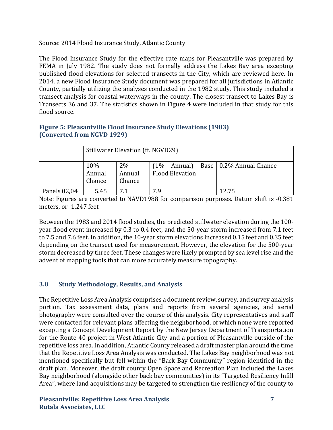Source: 2014 Flood Insurance Study, Atlantic County

The Flood Insurance Study for the effective rate maps for Pleasantville was prepared by FEMA in July 1982. The study does not formally address the Lakes Bay area excepting published flood elevations for selected transects in the City, which are reviewed here. In 2014, a new Flood Insurance Study document was prepared for all jurisdictions in Atlantic County, partially utilizing the analyses conducted in the 1982 study. This study included a transect analysis for coastal waterways in the county. The closest transect to Lakes Bay is Transects 36 and 37. The statistics shown in Figure 4 were included in that study for this flood source.

### **Figure 5: Pleasantville Flood Insurance Study Elevations (1983) (Converted from NGVD 1929)**

|              | Stillwater Elevation (ft. NGVD29) |                           |                                                                    |  |  |
|--------------|-----------------------------------|---------------------------|--------------------------------------------------------------------|--|--|
|              | 10%<br>Annual<br>Chance           | $2\%$<br>Annual<br>Chance | Annual) Base   0.2% Annual Chance<br>(1%<br><b>Flood Elevation</b> |  |  |
| Panels 02,04 | 5.45                              | 7                         | 7.9<br>12.75                                                       |  |  |

Note: Figures are converted to NAVD1988 for comparison purposes. Datum shift is -0.381 meters, or -1.247 feet

Between the 1983 and 2014 flood studies, the predicted stillwater elevation during the 100 year flood event increased by 0.3 to 0.4 feet, and the 50-year storm increased from 7.1 feet to 7.5 and 7.6 feet. In addition, the 10-year storm elevations increased 0.15 feet and 0.35 feet depending on the transect used for measurement. However, the elevation for the 500-year storm decreased by three feet. These changes were likely prompted by sea level rise and the advent of mapping tools that can more accurately measure topography.

# **3.0 Study Methodology, Results, and Analysis**

The Repetitive Loss Area Analysis comprises a document review, survey, and survey analysis portion. Tax assessment data, plans and reports from several agencies, and aerial photography were consulted over the course of this analysis. City representatives and staff were contacted for relevant plans affecting the neighborhood, of which none were reported excepting a Concept Development Report by the New Jersey Department of Transportation for the Route 40 project in West Atlantic City and a portion of Pleasantville outside of the repetitive loss area. In addition, Atlantic County released a draft master plan around the time that the Repetitive Loss Area Analysis was conducted. The Lakes Bay neighborhood was not mentioned specifically but fell within the "Back Bay Community" region identified in the draft plan. Moreover, the draft county Open Space and Recreation Plan included the Lakes Bay neighborhood (alongside other back bay communities) in its "Targeted Resiliency Infill Area", where land acquisitions may be targeted to strengthen the resiliency of the county to

#### **Pleasantville: Repetitive Loss Area Analysis 7 Rutala Associates, LLC**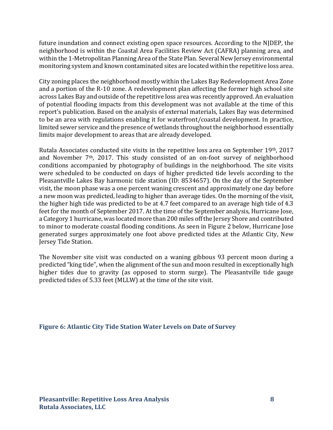future inundation and connect existing open space resources. According to the NJDEP, the neighborhood is within the Coastal Area Facilities Review Act (CAFRA) planning area, and within the 1-Metropolitan Planning Area of the State Plan. Several New Jersey environmental monitoring system and known contaminated sites are located within the repetitive loss area.

City zoning places the neighborhood mostly within the Lakes Bay Redevelopment Area Zone and a portion of the R-10 zone. A redevelopment plan affecting the former high school site across Lakes Bay and outside of the repetitive loss area was recently approved. An evaluation of potential flooding impacts from this development was not available at the time of this report's publication. Based on the analysis of external materials, Lakes Bay was determined to be an area with regulations enabling it for waterfront/coastal development. In practice, limited sewer service and the presence of wetlands throughout the neighborhood essentially limits major development to areas that are already developed.

Rutala Associates conducted site visits in the repetitive loss area on September 19th, 2017 and November 7th, 2017. This study consisted of an on-foot survey of neighborhood conditions accompanied by photography of buildings in the neighborhood. The site visits were scheduled to be conducted on days of higher predicted tide levels according to the Pleasantville Lakes Bay harmonic tide station (ID: 8534657). On the day of the September visit, the moon phase was a one percent waning crescent and approximately one day before a new moon was predicted, leading to higher than average tides. On the morning of the visit, the higher high tide was predicted to be at 4.7 feet compared to an average high tide of 4.3 feet for the month of September 2017. At the time of the September analysis, Hurricane Jose, a Category 1 hurricane, was located more than 200 miles off the Jersey Shore and contributed to minor to moderate coastal flooding conditions. As seen in Figure 2 below, Hurricane Jose generated surges approximately one foot above predicted tides at the Atlantic City, New Jersey Tide Station.

The November site visit was conducted on a waning gibbous 93 percent moon during a predicted "king tide", when the alignment of the sun and moon resulted in exceptionally high higher tides due to gravity (as opposed to storm surge). The Pleasantville tide gauge predicted tides of 5.33 feet (MLLW) at the time of the site visit.

#### **Figure 6: Atlantic City Tide Station Water Levels on Date of Survey**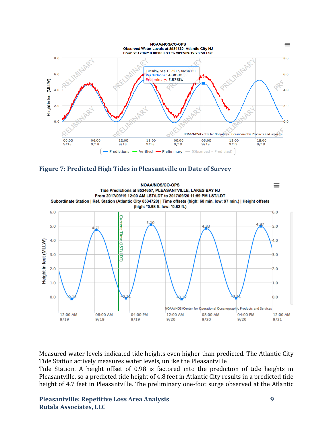





Measured water levels indicated tide heights even higher than predicted. The Atlantic City Tide Station actively measures water levels, unlike the Pleasantville

Tide Station. A height offset of 0.98 is factored into the prediction of tide heights in Pleasantville, so a predicted tide height of 4.8 feet in Atlantic City results in a predicted tide height of 4.7 feet in Pleasantville. The preliminary one-foot surge observed at the Atlantic

**Pleasantville: Repetitive Loss Area Analysis 9 Rutala Associates, LLC**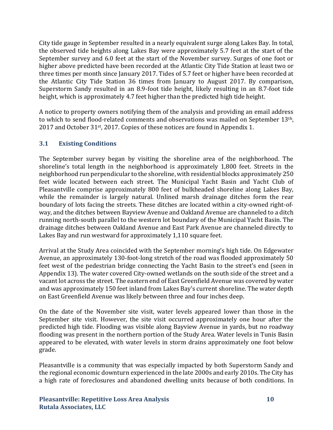City tide gauge in September resulted in a nearly equivalent surge along Lakes Bay. In total, the observed tide heights along Lakes Bay were approximately 5.7 feet at the start of the September survey and 6.0 feet at the start of the November survey. Surges of one foot or higher above predicted have been recorded at the Atlantic City Tide Station at least two or three times per month since January 2017. Tides of 5.7 feet or higher have been recorded at the Atlantic City Tide Station 36 times from January to August 2017. By comparison, Superstorm Sandy resulted in an 8.9-foot tide height, likely resulting in an 8.7-foot tide height, which is approximately 4.7 feet higher than the predicted high tide height.

A notice to property owners notifying them of the analysis and providing an email address to which to send flood-related comments and observations was mailed on September 13th, 2017 and October 31st, 2017. Copies of these notices are found in Appendix 1.

# **3.1 Existing Conditions**

The September survey began by visiting the shoreline area of the neighborhood. The shoreline's total length in the neighborhood is approximately 1,800 feet. Streets in the neighborhood run perpendicular to the shoreline, with residential blocks approximately 250 feet wide located between each street. The Municipal Yacht Basin and Yacht Club of Pleasantville comprise approximately 800 feet of bulkheaded shoreline along Lakes Bay, while the remainder is largely natural. Unlined marsh drainage ditches form the rear boundary of lots facing the streets. These ditches are located within a city-owned right-ofway, and the ditches between Bayview Avenue and Oakland Avenue are channeled to a ditch running north-south parallel to the western lot boundary of the Municipal Yacht Basin. The drainage ditches between Oakland Avenue and East Park Avenue are channeled directly to Lakes Bay and run westward for approximately 1,110 square feet.

Arrival at the Study Area coincided with the September morning's high tide. On Edgewater Avenue, an approximately 130-foot-long stretch of the road was flooded approximately 50 feet west of the pedestrian bridge connecting the Yacht Basin to the street's end (seen in Appendix 13). The water covered City-owned wetlands on the south side of the street and a vacant lot across the street. The eastern end of East Greenfield Avenue was covered by water and was approximately 150 feet inland from Lakes Bay's current shoreline. The water depth on East Greenfield Avenue was likely between three and four inches deep.

On the date of the November site visit, water levels appeared lower than those in the September site visit. However, the site visit occurred approximately one hour after the predicted high tide. Flooding was visible along Bayview Avenue in yards, but no roadway flooding was present in the northern portion of the Study Area. Water levels in Tunis Basin appeared to be elevated, with water levels in storm drains approximately one foot below grade.

Pleasantville is a community that was especially impacted by both Superstorm Sandy and the regional economic downturn experienced in the late 2000s and early 2010s. The City has a high rate of foreclosures and abandoned dwelling units because of both conditions. In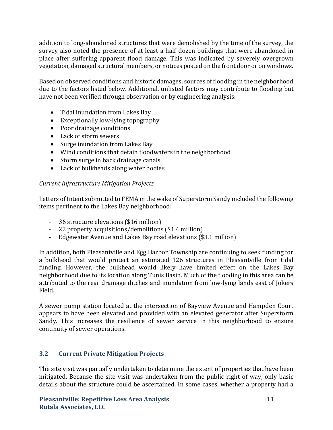addition to long-abandoned structures that were demolished by the time of the survey, the survey also noted the presence of at least a half-dozen buildings that were abandoned in place after suffering apparent flood damage. This was indicated by severely overgrown vegetation, damaged structural members, or notices posted on the front door or on windows.

Based on observed conditions and historic damages, sources of flooding in the neighborhood due to the factors listed below. Additional, unlisted factors may contribute to flooding but have not been verified through observation or by engineering analysis:

- Tidal inundation from Lakes Bay
- Exceptionally low-lying topography
- Poor drainage conditions
- Lack of storm sewers
- Surge inundation from Lakes Bay
- Wind conditions that detain floodwaters in the neighborhood
- Storm surge in back drainage canals
- Lack of bulkheads along water bodies

# *Current Infrastructure Mitigation Projects*

Letters of Intent submitted to FEMA in the wake of Superstorm Sandy included the following items pertinent to the Lakes Bay neighborhood:

- 36 structure elevations (\$16 million)
- 22 property acquisitions/demolitions (\$1.4 million)
- Edgewater Avenue and Lakes Bay road elevations (\$3.1 million)

In addition, both Pleasantville and Egg Harbor Township are continuing to seek funding for a bulkhead that would protect an estimated 126 structures in Pleasantville from tidal funding. However, the bulkhead would likely have limited effect on the Lakes Bay neighborhood due to its location along Tunis Basin. Much of the flooding in this area can be attributed to the rear drainage ditches and inundation from low-lying lands east of Jokers Field.

A sewer pump station located at the intersection of Bayview Avenue and Hampden Court appears to have been elevated and provided with an elevated generator after Superstorm Sandy. This increases the resilience of sewer service in this neighborhood to ensure continuity of sewer operations.

# **3.2 Current Private Mitigation Projects**

The site visit was partially undertaken to determine the extent of properties that have been mitigated. Because the site visit was undertaken from the public right-of-way, only basic details about the structure could be ascertained. In some cases, whether a property had a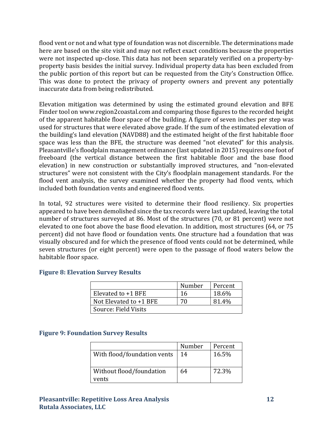flood vent or not and what type of foundation was not discernible. The determinations made here are based on the site visit and may not reflect exact conditions because the properties were not inspected up-close. This data has not been separately verified on a property-byproperty basis besides the initial survey. Individual property data has been excluded from the public portion of this report but can be requested from the City's Construction Office. This was done to protect the privacy of property owners and prevent any potentially inaccurate data from being redistributed.

Elevation mitigation was determined by using the estimated ground elevation and BFE Finder tool on www.region2coastal.com and comparing those figures to the recorded height of the apparent habitable floor space of the building. A figure of seven inches per step was used for structures that were elevated above grade. If the sum of the estimated elevation of the building's land elevation (NAVD88) and the estimated height of the first habitable floor space was less than the BFE, the structure was deemed "not elevated" for this analysis. Pleasantville's floodplain management ordinance (last updated in 2015) requires one foot of freeboard (the vertical distance between the first habitable floor and the base flood elevation) in new construction or substantially improved structures, and "non-elevated structures" were not consistent with the City's floodplain management standards. For the flood vent analysis, the survey examined whether the property had flood vents, which included both foundation vents and engineered flood vents.

In total, 92 structures were visited to determine their flood resiliency. Six properties appeared to have been demolished since the tax records were last updated, leaving the total number of structures surveyed at 86. Most of the structures (70, or 81 percent) were not elevated to one foot above the base flood elevation. In addition, most structures (64, or 75 percent) did not have flood or foundation vents. One structure had a foundation that was visually obscured and for which the presence of flood vents could not be determined, while seven structures (or eight percent) were open to the passage of flood waters below the habitable floor space.

|                          | Number | Percent |
|--------------------------|--------|---------|
| Elevated to +1 BFE       | 16     | 18.6%   |
| Not Elevated to $+1$ BFE | 70     | 81.4%   |
| Source: Field Visits     |        |         |

#### **Figure 8: Elevation Survey Results**

#### **Figure 9: Foundation Survey Results**

|                                   | Number | Percent |
|-----------------------------------|--------|---------|
| With flood/foundation vents       | 14     | 16.5%   |
| Without flood/foundation<br>vents | 64     | 72.3%   |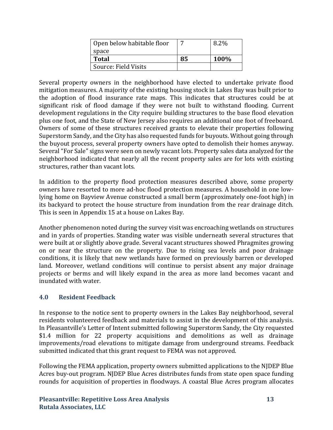| Open below habitable floor |    | 8.2% |
|----------------------------|----|------|
| space                      |    |      |
| <b>Total</b>               | 85 | 100% |
| Source: Field Visits       |    |      |

Several property owners in the neighborhood have elected to undertake private flood mitigation measures. A majority of the existing housing stock in Lakes Bay was built prior to the adoption of flood insurance rate maps. This indicates that structures could be at significant risk of flood damage if they were not built to withstand flooding. Current development regulations in the City require building structures to the base flood elevation plus one foot, and the State of New Jersey also requires an additional one foot of freeboard. Owners of some of these structures received grants to elevate their properties following Superstorm Sandy, and the City has also requested funds for buyouts. Without going through the buyout process, several property owners have opted to demolish their homes anyway. Several "For Sale" signs were seen on newly vacant lots. Property sales data analyzed for the neighborhood indicated that nearly all the recent property sales are for lots with existing structures, rather than vacant lots.

In addition to the property flood protection measures described above, some property owners have resorted to more ad-hoc flood protection measures. A household in one lowlying home on Bayview Avenue constructed a small berm (approximately one-foot high) in its backyard to protect the house structure from inundation from the rear drainage ditch. This is seen in Appendix 15 at a house on Lakes Bay.

Another phenomenon noted during the survey visit was encroaching wetlands on structures and in yards of properties. Standing water was visible underneath several structures that were built at or slightly above grade. Several vacant structures showed Phragmites growing on or near the structure on the property. Due to rising sea levels and poor drainage conditions, it is likely that new wetlands have formed on previously barren or developed land. Moreover, wetland conditions will continue to persist absent any major drainage projects or berms and will likely expand in the area as more land becomes vacant and inundated with water.

# **4.0 Resident Feedback**

In response to the notice sent to property owners in the Lakes Bay neighborhood, several residents volunteered feedback and materials to assist in the development of this analysis. In Pleasantville's Letter of Intent submitted following Superstorm Sandy, the City requested \$1.4 million for 22 property acquisitions and demolitions as well as drainage improvements/road elevations to mitigate damage from underground streams. Feedback submitted indicated that this grant request to FEMA was not approved.

Following the FEMA application, property owners submitted applications to the NJDEP Blue Acres buy-out program. NJDEP Blue Acres distributes funds from state open space funding rounds for acquisition of properties in floodways. A coastal Blue Acres program allocates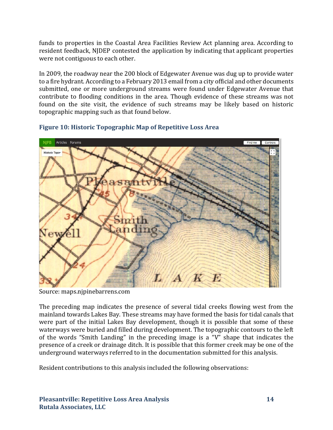funds to properties in the Coastal Area Facilities Review Act planning area. According to resident feedback, NJDEP contested the application by indicating that applicant properties were not contiguous to each other.

In 2009, the roadway near the 200 block of Edgewater Avenue was dug up to provide water to a fire hydrant. According to a February 2013 email from a city official and other documents submitted, one or more underground streams were found under Edgewater Avenue that contribute to flooding conditions in the area. Though evidence of these streams was not found on the site visit, the evidence of such streams may be likely based on historic topographic mapping such as that found below.



# **Figure 10: Historic Topographic Map of Repetitive Loss Area**

Source: maps.njpinebarrens.com

The preceding map indicates the presence of several tidal creeks flowing west from the mainland towards Lakes Bay. These streams may have formed the basis for tidal canals that were part of the initial Lakes Bay development, though it is possible that some of these waterways were buried and filled during development. The topographic contours to the left of the words "Smith Landing" in the preceding image is a "V" shape that indicates the presence of a creek or drainage ditch. It is possible that this former creek may be one of the underground waterways referred to in the documentation submitted for this analysis.

Resident contributions to this analysis included the following observations: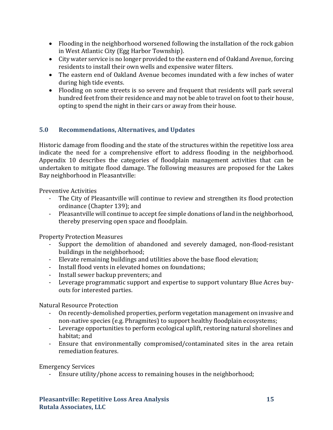- Flooding in the neighborhood worsened following the installation of the rock gabion in West Atlantic City (Egg Harbor Township).
- City water service is no longer provided to the eastern end of Oakland Avenue, forcing residents to install their own wells and expensive water filters.
- The eastern end of Oakland Avenue becomes inundated with a few inches of water during high tide events.
- Flooding on some streets is so severe and frequent that residents will park several hundred feet from their residence and may not be able to travel on foot to their house, opting to spend the night in their cars or away from their house.

# **5.0 Recommendations, Alternatives, and Updates**

Historic damage from flooding and the state of the structures within the repetitive loss area indicate the need for a comprehensive effort to address flooding in the neighborhood. Appendix 10 describes the categories of floodplain management activities that can be undertaken to mitigate flood damage. The following measures are proposed for the Lakes Bay neighborhood in Pleasantville:

Preventive Activities

- The City of Pleasantville will continue to review and strengthen its flood protection ordinance (Chapter 139); and
- Pleasantville will continue to accept fee simple donations of land in the neighborhood, thereby preserving open space and floodplain.

Property Protection Measures

- Support the demolition of abandoned and severely damaged, non-flood-resistant buildings in the neighborhood;
- Elevate remaining buildings and utilities above the base flood elevation;
- Install flood vents in elevated homes on foundations;
- Install sewer backup preventers; and
- Leverage programmatic support and expertise to support voluntary Blue Acres buyouts for interested parties.

Natural Resource Protection

- On recently-demolished properties, perform vegetation management on invasive and non-native species (e.g. Phragmites) to support healthy floodplain ecosystems;
- Leverage opportunities to perform ecological uplift, restoring natural shorelines and habitat; and
- Ensure that environmentally compromised/contaminated sites in the area retain remediation features.

Emergency Services

- Ensure utility/phone access to remaining houses in the neighborhood;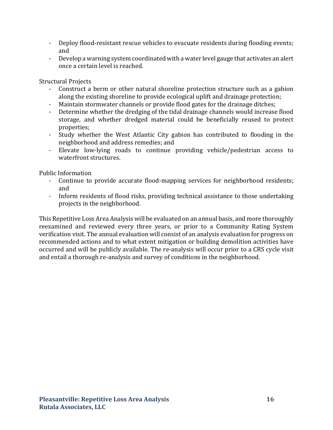- Deploy flood-resistant rescue vehicles to evacuate residents during flooding events; and
- Develop a warning system coordinated with a water level gauge that activates an alert once a certain level is reached.

Structural Projects

- Construct a berm or other natural shoreline protection structure such as a gabion along the existing shoreline to provide ecological uplift and drainage protection;
- Maintain stormwater channels or provide flood gates for the drainage ditches;
- Determine whether the dredging of the tidal drainage channels would increase flood storage, and whether dredged material could be beneficially reused to protect properties;
- Study whether the West Atlantic City gabion has contributed to flooding in the neighborhood and address remedies; and
- Elevate low-lying roads to continue providing vehicle/pedestrian access to waterfront structures.

Public Information

- Continue to provide accurate flood-mapping services for neighborhood residents; and
- Inform residents of flood risks, providing technical assistance to those undertaking projects in the neighborhood.

This Repetitive Loss Area Analysis will be evaluated on an annual basis, and more thoroughly reexamined and reviewed every three years, or prior to a Community Rating System verification visit. The annual evaluation will consist of an analysis evaluation for progress on recommended actions and to what extent mitigation or building demolition activities have occurred and will be publicly available. The re-analysis will occur prior to a CRS cycle visit and entail a thorough re-analysis and survey of conditions in the neighborhood.